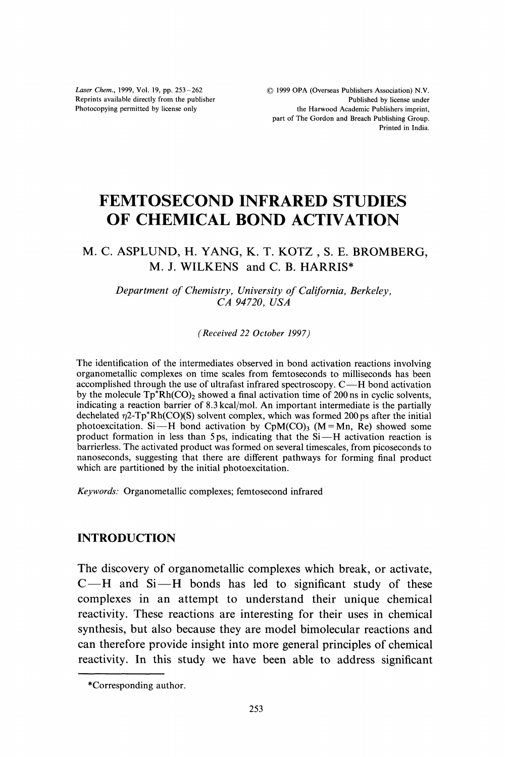Laser Chem., 1999, Vol. 19, pp. 253-262 Reprints available directly from the publisher Photocopying permitted by license only

# FEMTOSECOND INFRARED STUDIES OF CHEMICAL BOND ACTIVATION

## M. C. ASPLUND, H. YANG, K. T. KOTZ, S. E. BROMBERG, M. J. WILKENS and C. B. HARRIS\*

Department of Chemistry, University of California, Berkeley, CA 94720, USA

(Received 22 October 1997)

The identification of the intermediates observed in bond activation reactions involving organometallic complexes on time scales from femtoseconds to milliseconds has been accomplished through the use of ultrafast infrared spectroscopy. C-H bond activation by the molecule  $\text{Tp}^* \text{Rh}(\text{CO})_2$  showed a final activation time of 200 ns in cyclic solvents, indicating a reaction barrier of 8.3 kcal/mol. An important intermediate is the partially dechelated  $\eta$ 2-Tp\*Rh(CO)(S) solvent complex, which was formed 200 ps after the initial photoexcitation. Si-H bond activation by  $CpM(CO)$ <sub>3</sub> (M = Mn, Re) showed some product formation in less than 5 ps, indicating that the  $Si-H$  activation reaction is barrierless. The activated product was formed on several timescales, from picoseconds to nanoseconds, suggesting that there are different pathways for forming final product which are partitioned by the initial photoexcitation.

Keywords: Organometallic complexes; femtosecond infrared

## INTRODUCTION

The discovery of organometallic complexes which break, or activate,  $C-H$  and  $Si-H$  bonds has led to significant study of these complexes in an attempt to understand their unique chemical reactivity. These reactions are interesting for their uses in chemical synthesis, but also because they are model bimolecular reactions and can therefore provide insight into more general principles of chemical reactivity. In this study we have been able to address significant

<sup>\*</sup>Corresponding author.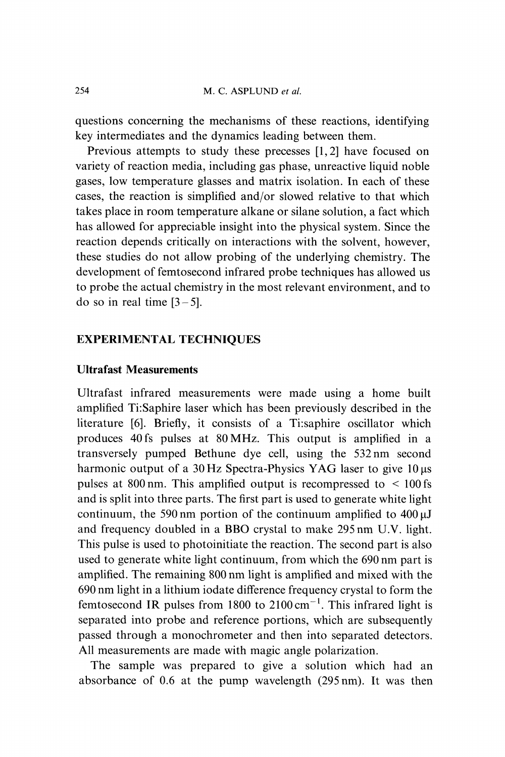questions concerning the mechanisms of these reactions, identifying key intermediates and the dynamics leading between them.

Previous attempts to study these precesses [1,2] have focused on variety of reaction media, including gas phase, unreactive liquid noble gases, low temperature glasses and matrix isolation. In each of these cases, the reaction is simplified and/or slowed relative to that which takes place in room temperature alkane or silane solution, a fact which has allowed for appreciable insight into the physical system. Since the reaction depends critically on interactions with the solvent, however, these studies do not allow probing of the underlying chemistry. The development of femtosecond infrared probe techniques has allowed us to probe the actual chemistry in the most relevant environment, and to do so in real time  $[3-5]$ .

#### EXPERIMENTAL TECHNIQUES

## Ultrafast Measurements

Ultrafast infrared measurements were made using a home built amplified Ti:Saphire laser which has been previously described in the literature [6]. Briefly, it consists of a Ti:saphire oscillator which produces 40fs pulses at 80MHz. This output is amplified in a transversely pumped Bethune dye cell, using the 532nm second harmonic output of a  $30$  Hz Spectra-Physics YAG laser to give  $10 \,\mu s$ pulses at 800 nm. This amplified output is recompressed to  $\leq 100$  fs and is split into three parts. The first part is used to generate white light continuum, the 590 nm portion of the continuum amplified to  $400 \mu J$ and frequency doubled in <sup>a</sup> BBO crystal to make <sup>295</sup> nm U.V. light. This pulse is used to photoinitiate the reaction. The second part is also used to generate white light continuum, from which the 690 nm part is amplified. The remaining 800 nm light is amplified and mixed with the 690 nm light in <sup>a</sup> lithium iodate difference frequency crystal to form the femtosecond IR pulses from 1800 to  $2100 \text{ cm}^{-1}$ . This infrared light is separated into probe and reference portions, which are subsequently passed through a monochrometer and then into separated detectors. All measurements are made with magic angle polarization.

The sample was prepared to give a solution which had an absorbance of 0.6 at the pump wavelength (295 nm). It was then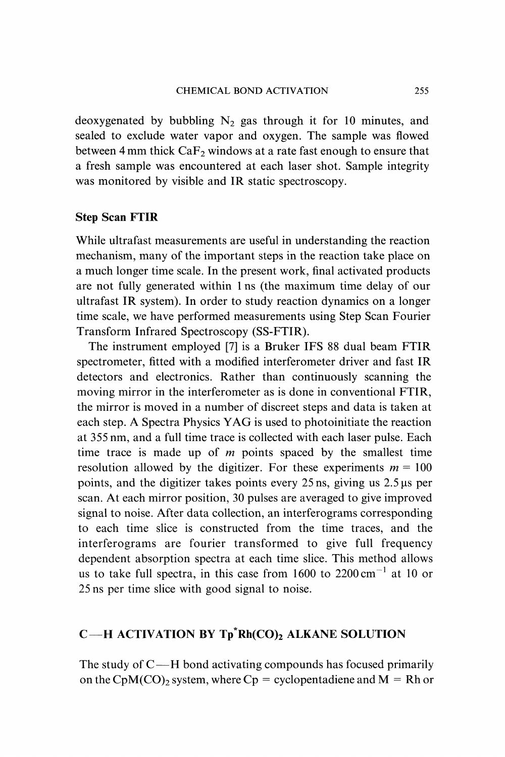deoxygenated by bubbling  $N_2$  gas through it for 10 minutes, and sealed to exclude water vapor and oxygen. The sample was flowed between 4 mm thick  $CaF<sub>2</sub>$  windows at a rate fast enough to ensure that a fresh sample was encountered at each laser shot. Sample integrity was monitored by visible and IR static spectroscopy.

## Step Scan FTIR

While ultrafast measurements are useful in understanding the reaction mechanism, many of the important steps in the reaction take place on a much longer time scale. In the present work, final activated products are not fully generated within 1 ns (the maximum time delay of our ultrafast IR system). In order to study reaction dynamics on a longer time scale, we have performed measurements using Step Scan Fourier Transform Infrared Spectroscopy (SS-FTIR).

The instrument employed [7] is a Bruker IFS 88 dual beam FTIR spectrometer, fitted with a modified interferometer driver and fast IR detectors and electronics. Rather than continuously scanning the moving mirror in the interferometer as is done in conventional FTIR, the mirror is moved in a number of discreet steps and data is taken at each step. A Spectra Physics YAG is used to photoinitiate the reaction at 355 nm, and a full time trace is collected with each laser pulse. Each time trace is made up of  $m$  points spaced by the smallest time resolution allowed by the digitizer. For these experiments  $m = 100$ points, and the digitizer takes points every  $25$  ns, giving us  $2.5 \mu s$  per scan. At each mirror position, 30 pulses are averaged to give improved signal to noise. After data collection, an interferograms corresponding to each time slice is constructed from the time traces, and the interferograms are fourier transformed to give full frequency dependent absorption spectra at each time slice. This method allows us to take full spectra, in this case from  $1600$  to  $2200 \text{ cm}^{-1}$  at 10 or 25 ns per time slice with good signal to noise.

# $C$ -H ACTIVATION BY Tp\*Rh(CO)<sub>2</sub> ALKANE SOLUTION

The study of  $C-H$  bond activating compounds has focused primarily on the CpM(CO)<sub>2</sub> system, where Cp = cyclopentadiene and M = Rh or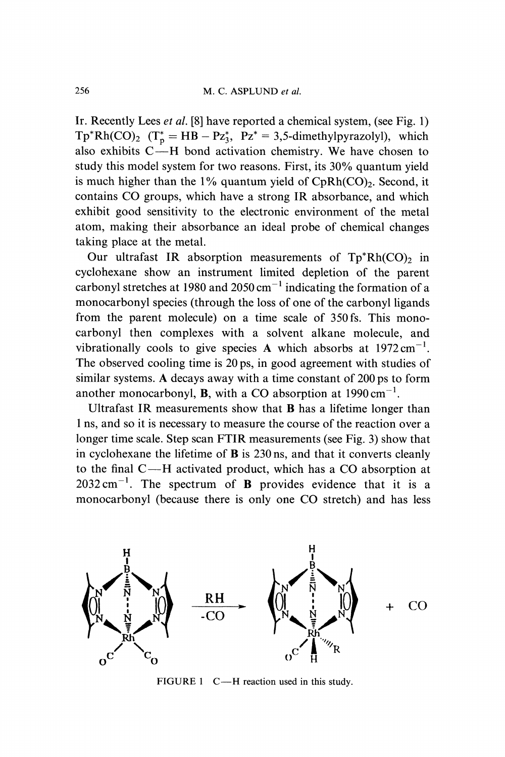Ir. Recently Lees et al. [8] have reported a chemical system, (see Fig. 1)  $Tp^*Rh(CO)_2$   $(T^*_p = HB - Pz^*_3, Pz^* = 3,5$ -dimethylpyrazolyl), which also exhibits  $C$ —H bond activation chemistry. We have chosen to study this model system for two reasons. First, its 30% quantum yield is much higher than the  $1\%$  quantum yield of CpRh(CO)<sub>2</sub>. Second, it contains CO groups, which have <sup>a</sup> strong IR absorbance, and which exhibit good sensitivity to the electronic environment of the metal atom, making their absorbance an ideal probe of chemical changes taking place at the metal.

Our ultrafast IR absorption measurements of  $Tp^*Rh(CO)_2$  in cyclohexane show an instrument limited depletion of the parent carbonyl stretches at 1980 and 2050 cm<sup> $-1$ </sup> indicating the formation of a carbonyl stretches at 1980 and 2050 cm<sup>-1</sup> indicating the formation of a monocarbonyl species (through the loss of one of the carbonyl ligands from the parent molecule) on a time scale of 350fs. This monocarbonyl then complexes with a solvent alkane molecule, and vibrationally cools to give species A which absorbs at  $1972 \text{ cm}^{-1}$ . The observed cooling time is 20 ps, in good agreement with studies of similar systems. A decays away with <sup>a</sup> time constant of <sup>200</sup> ps to form another monocarbonyl, **B**, with a CO absorption at  $1990 \text{ cm}^{-1}$ .

Ultrafast IR measurements show that B has a lifetime longer than ns, and so it is necessary to measure the course of the reaction over a longer time scale. Step scan FTIR measurements (see Fig. 3) show that in cyclohexane the lifetime of  $\bf{B}$  is 230 ns, and that it converts cleanly to the final C-H activated product, which has a CO absorption at  $2032 \text{ cm}^{-1}$ . The spectrum of **B** provides evidence that it is a monocarbonyl (because there is only one CO stretch) and has less



 $CO$ 

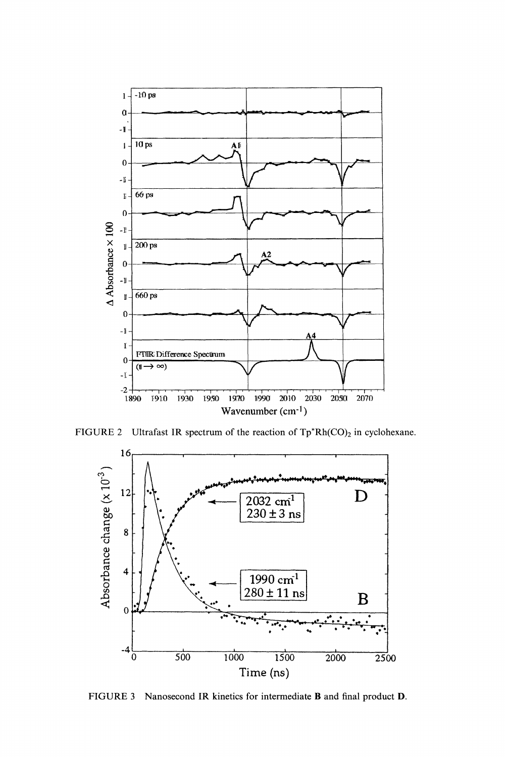

FIGURE 2 Ultrafast IR spectrum of the reaction of  $Tp^*Rh(CO)_2$  in cyclohexane.



FIGURE <sup>3</sup> Nanosecond IR kinetics for intermediate B and final product D.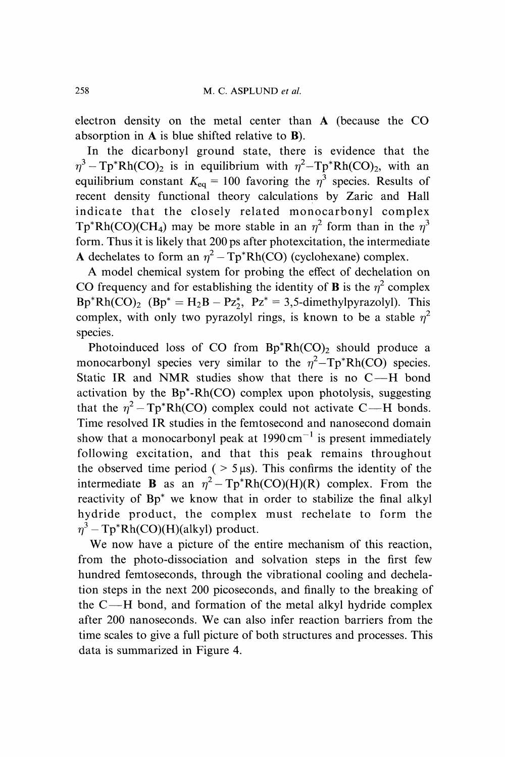electron density on the metal center than A (because the CO absorption in  $A$  is blue shifted relative to  $B$ ).

In the dicarbonyl ground state, there is evidence that the  $\eta^3 - \text{Tp}^* \text{Rh}(\text{CO})_2$  is in equilibrium with  $\eta^2 - \text{Tp}^* \text{Rh}(\text{CO})_2$ , with an equilibrium constant  $K_{eq} = 100$  favoring the  $\eta^3$  species. Results of recent density functional theory calculations by Zaric and Hall indicate that the closely related monocarbonyl complex  $Tp^*Rh(CO)(CH_4)$  may be more stable in an  $\eta^2$  form than in the  $\eta^3$ form. Thus it is likely that 200 ps after photexcitation, the intermediate A dechelates to form an  $\eta^2 - Tp^*Rh(CO)$  (cyclohexane) complex.

A model chemical system for probing the effect of dechelation on CO frequency and for establishing the identity of **B** is the  $\eta^2$  complex  $Bp^*Rh(CO)_2$   $(Bp^* = H_2B - Pz_2^*, Pz^* = 3,5$ -dimethylpyrazolyl). This complex, with only two pyrazolyl rings, is known to be a stable  $\eta^2$ species.

Photoinduced loss of CO from  $Bp^*Rh(CO)_2$  should produce a monocarbonyl species very similar to the  $\eta^2 - \text{Tp}^* \text{Rh}(CO)$  species. Static IR and NMR studies show that there is no  $C-H$  bond activation by the Bp\*-Rh(CO) complex upon photolysis, suggesting that the  $\eta^2 - \text{Tp}^* \text{Rh}(\text{CO})$  complex could not activate C—H bonds. Time resolved IR studies in the femtosecond and nanosecond domain show that a monocarbonyl peak at  $1990 \text{ cm}^{-1}$  is present immediately show that a monocarbonyl peak at 1990 cm<sup>-1</sup> is present immediately<br>following excitation, and that this peak remains throughout the observed time period  $($  > 5 $\mu$ s). This confirms the identity of the intermediate **B** as an  $\eta^2 - \text{Tp}^* \text{Rh}(CO)(H)(R)$  complex. From the reactivity of Bp\* we know that in order to stabilize the final alkyl hydride product, the complex must rechelate to form the  $\eta^3$  – Tp\*Rh(CO)(H)(alkyl) product.

We now have <sup>a</sup> picture of the entire mechanism of this reaction, from the photo-dissociation and solvation steps in the first few hundred femtoseconds, through the vibrational cooling and dechelation steps in the next 200 picoseconds, and finally to the breaking of the  $C-H$  bond, and formation of the metal alkyl hydride complex after <sup>200</sup> nanoseconds. We can also infer reaction barriers from the time scales to give a full picture of both structures and processes. This data is summarized in Figure 4.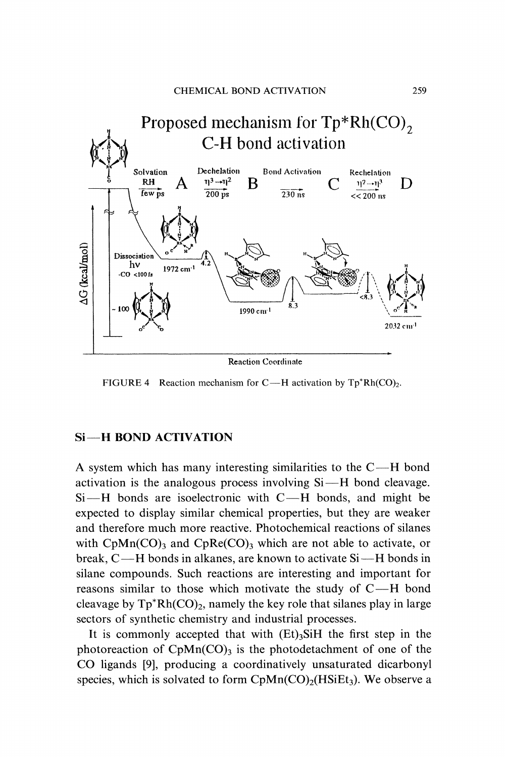

**Reaction Coordinate** 

FIGURE 4 Reaction mechanism for C—H activation by  $Tp^*Rh(CO)_2$ .

#### Si-H BOND ACTIVATION

A system which has many interesting similarities to the  $C-H$  bond activation is the analogous process involving  $Si$ —H bond cleavage.  $Si-H$  bonds are isoelectronic with  $C-H$  bonds, and might be expected to display similar chemical properties, but they are weaker and therefore much more reactive. Photochemical reactions of silanes with  $CpMn(CO)$ <sub>3</sub> and  $CpRe(CO)$ <sub>3</sub> which are not able to activate, or break, C—H bonds in alkanes, are known to activate Si—H bonds in silane compounds. Such reactions are interesting and important for reasons similar to those which motivate the study of  $C-H$  bond cleavage by  $\text{Tp}^* \text{Rh}(\text{CO})_2$ , namely the key role that silanes play in large sectors of synthetic chemistry and industrial processes.

It is commonly accepted that with  $(Et)$ <sub>3</sub>SiH the first step in the photoreaction of  $CpMn(CO)$ <sub>3</sub> is the photodetachment of one of the CO ligands [9], producing <sup>a</sup> coordinatively unsaturated dicarbonyl species, which is solvated to form  $CpMn(CO)<sub>2</sub>(HSiEt<sub>3</sub>)$ . We observe a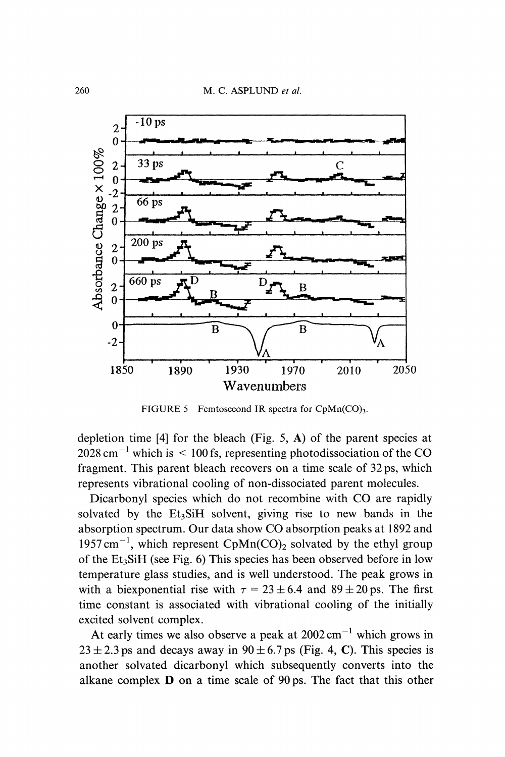

FIGURE 5 Femtosecond IR spectra for  $CpMn(CO)_{3}$ .

depletion time  $[4]$  for the bleach (Fig. 5, A) of the parent species at  $2028 \text{ cm}^{-1}$  which is  $\leq 100 \text{ fs}$ , representing photodissociation of the CO fragment. This parent bleach recovers on a time scale of 32 ps, which represents vibrational cooling of non-dissociated parent molecules.

Dicarbonyl species which do not recombine with CO are rapidly solvated by the  $Et<sub>3</sub>SH$  solvent, giving rise to new bands in the absorption spectrum. Our data show CO absorption peaks at <sup>1892</sup> and 1957 cm<sup>-1</sup>, which represent CpMn(CO)<sub>2</sub> solvated by the ethyl group of the  $Et_3SH$  (see Fig. 6) This species has been observed before in low temperature glass studies, and is well understood. The peak grows in with a biexponential rise with  $\tau = 23 \pm 6.4$  and  $89 \pm 20$  ps. The first time constant is associated with vibrational cooling of the initially excited solvent complex.

At early times we also observe a peak at  $2002 \text{ cm}^{-1}$  which grows in  $23 \pm 2.3$  ps and decays away in  $90 \pm 6.7$  ps (Fig. 4, C). This species is another solvated dicarbonyl which subsequently converts into the alkane complex D on <sup>a</sup> time scale of 90ps. The fact that this other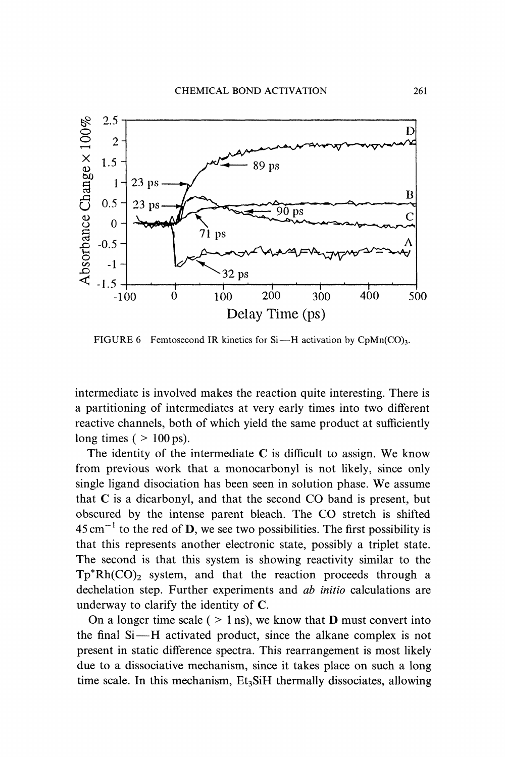

FIGURE 6 Femtosecond IR kinetics for Si-H activation by CpMn(CO)<sub>3</sub>.

intermediate is involved makes the reaction quite interesting. There is a partitioning of intermediates at very early times into two different reactive channels, both of which yield the same product at sufficiently long times ( $> 100$  ps).

The identity of the intermediate  $C$  is difficult to assign. We know from previous work that a monocarbonyl is not likely, since only single ligand disociation has been seen in solution phase. We assume that C is <sup>a</sup> dicarbonyl, and that the second CO band is present, but obscured by the intense parent bleach. The CO stretch is shifted  $45 \text{ cm}^{-1}$  to the red of **D**, we see two possibilities. The first possibility is  $45 \text{ cm}^{-1}$  to the red of **D**, we see two possibilities. The first possibility is that this represents another electronic state, possibly a triplet state. The second is that this system is showing reactivity similar to the  $Tp^*Rh(CO)_2$  system, and that the reaction proceeds through a dechelation step. Further experiments and *ab initio* calculations are underway to clarify the identity of C.

On a longer time scale (  $> 1$  ns), we know that **D** must convert into the final Si--H activated product, since the alkane complex is not present in static difference spectra. This rearrangement is most likely due to a dissociative mechanism, since it takes place on such a long time scale. In this mechanism,  $Et<sub>3</sub>SiH$  thermally dissociates, allowing